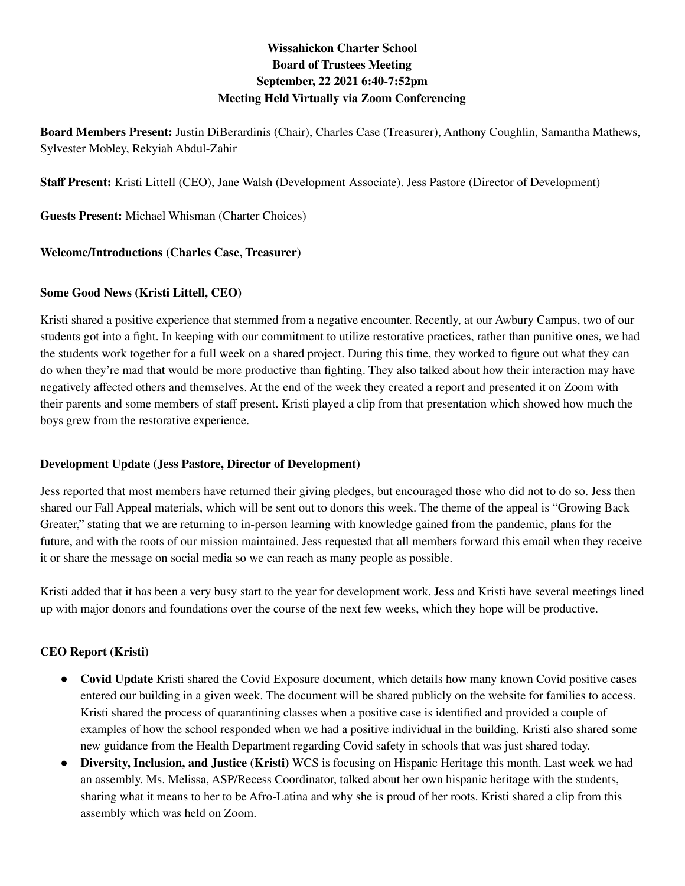# **Wissahickon Charter School Board of Trustees Meeting September, 22 2021 6:40-7:52pm Meeting Held Virtually via Zoom Conferencing**

**Board Members Present:** Justin DiBerardinis (Chair), Charles Case (Treasurer), Anthony Coughlin, Samantha Mathews, Sylvester Mobley, Rekyiah Abdul-Zahir

**Staff Present:** Kristi Littell (CEO), Jane Walsh (Development Associate). Jess Pastore (Director of Development)

**Guests Present:** Michael Whisman (Charter Choices)

### **Welcome/Introductions (Charles Case, Treasurer)**

#### **Some Good News (Kristi Littell, CEO)**

Kristi shared a positive experience that stemmed from a negative encounter. Recently, at our Awbury Campus, two of our students got into a fight. In keeping with our commitment to utilize restorative practices, rather than punitive ones, we had the students work together for a full week on a shared project. During this time, they worked to figure out what they can do when they're mad that would be more productive than fighting. They also talked about how their interaction may have negatively affected others and themselves. At the end of the week they created a report and presented it on Zoom with their parents and some members of staff present. Kristi played a clip from that presentation which showed how much the boys grew from the restorative experience.

#### **Development Update (Jess Pastore, Director of Development)**

Jess reported that most members have returned their giving pledges, but encouraged those who did not to do so. Jess then shared our Fall Appeal materials, which will be sent out to donors this week. The theme of the appeal is "Growing Back Greater," stating that we are returning to in-person learning with knowledge gained from the pandemic, plans for the future, and with the roots of our mission maintained. Jess requested that all members forward this email when they receive it or share the message on social media so we can reach as many people as possible.

Kristi added that it has been a very busy start to the year for development work. Jess and Kristi have several meetings lined up with major donors and foundations over the course of the next few weeks, which they hope will be productive.

## **CEO Report (Kristi)**

- **● Covid Update** Kristi shared the Covid Exposure document, which details how many known Covid positive cases entered our building in a given week. The document will be shared publicly on the website for families to access. Kristi shared the process of quarantining classes when a positive case is identified and provided a couple of examples of how the school responded when we had a positive individual in the building. Kristi also shared some new guidance from the Health Department regarding Covid safety in schools that was just shared today.
- **Diversity, Inclusion, and Justice (Kristi)** WCS is focusing on Hispanic Heritage this month. Last week we had an assembly. Ms. Melissa, ASP/Recess Coordinator, talked about her own hispanic heritage with the students, sharing what it means to her to be Afro-Latina and why she is proud of her roots. Kristi shared a clip from this assembly which was held on Zoom.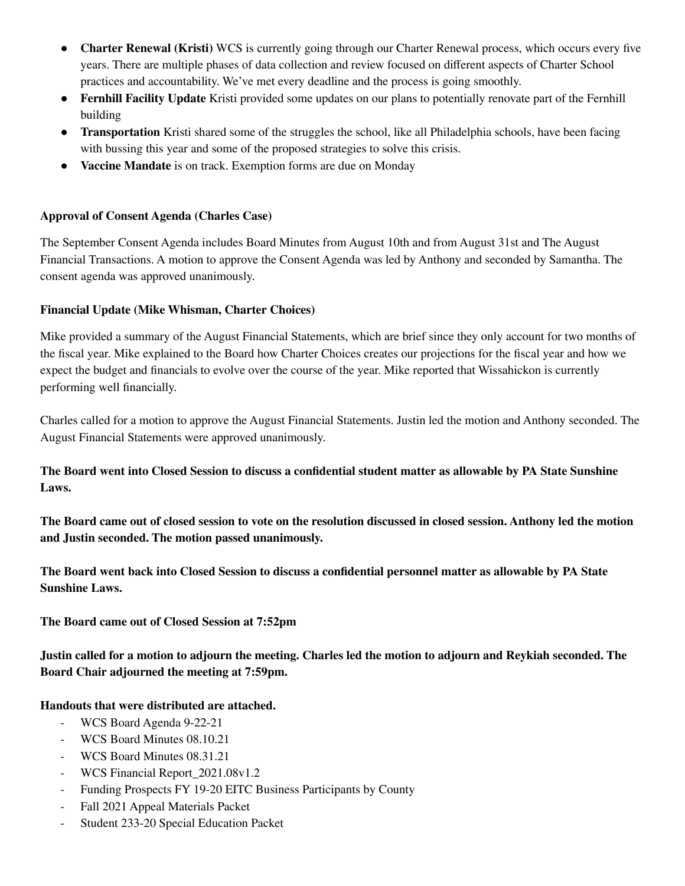- **Charter Renewal (Kristi)** WCS is currently going through our Charter Renewal process, which occurs every five years. There are multiple phases of data collection and review focused on different aspects of Charter School practices and accountability. We've met every deadline and the process is going smoothly.
- **Fernhill Facility Update** Kristi provided some updates on our plans to potentially renovate part of the Fernhill building
- **Transportation** Kristi shared some of the struggles the school, like all Philadelphia schools, have been facing with bussing this year and some of the proposed strategies to solve this crisis.
- **Vaccine Mandate** is on track. Exemption forms are due on Monday

### **Approval of Consent Agenda (Charles Case)**

The September Consent Agenda includes Board Minutes from August 10th and from August 31st and The August Financial Transactions. A motion to approve the Consent Agenda was led by Anthony and seconded by Samantha. The consent agenda was approved unanimously.

### **Financial Update (Mike Whisman, Charter Choices)**

Mike provided a summary of the August Financial Statements, which are brief since they only account for two months of the fiscal year. Mike explained to the Board how Charter Choices creates our projections for the fiscal year and how we expect the budget and financials to evolve over the course of the year. Mike reported that Wissahickon is currently performing well financially.

Charles called for a motion to approve the August Financial Statements. Justin led the motion and Anthony seconded. The August Financial Statements were approved unanimously.

## The Board went into Closed Session to discuss a confidential student matter as allowable by PA State Sunshine **Laws.**

The Board came out of closed session to vote on the resolution discussed in closed session. Anthony led the motion **and Justin seconded. The motion passed unanimously.**

The Board went back into Closed Session to discuss a confidential personnel matter as allowable by PA State **Sunshine Laws.**

**The Board came out of Closed Session at 7:52pm**

Justin called for a motion to adjourn the meeting. Charles led the motion to adjourn and Reykiah seconded. The **Board Chair adjourned the meeting at 7:59pm.**

#### **Handouts that were distributed are attached.**

- WCS Board Agenda 9-22-21
- WCS Board Minutes 08.10.21
- WCS Board Minutes 08.31.21
- WCS Financial Report 2021.08v1.2
- Funding Prospects FY 19-20 EITC Business Participants by County
- Fall 2021 Appeal Materials Packet
- Student 233-20 Special Education Packet